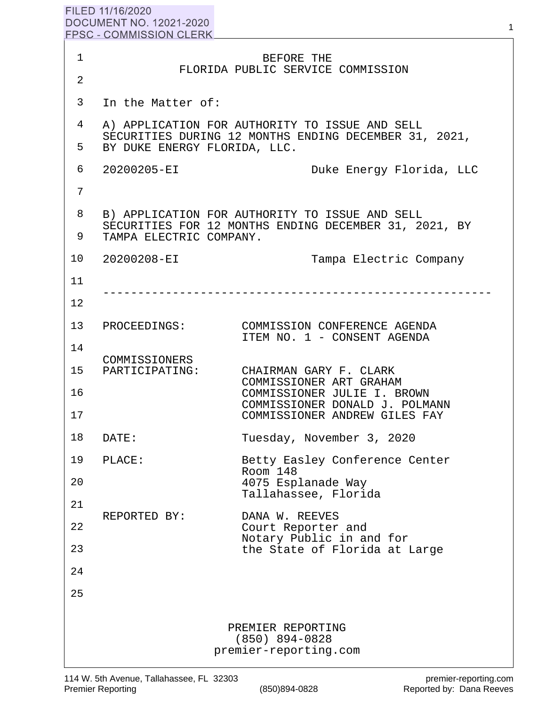## FILED 11/16/2020 **DOCUMENT NO. 12021-2020 FPSC - COMMISSION CLERK**

| 1               |                                                                                                                                    | BEFORE THE                                                               |
|-----------------|------------------------------------------------------------------------------------------------------------------------------------|--------------------------------------------------------------------------|
| 2               |                                                                                                                                    | FLORIDA PUBLIC SERVICE COMMISSION                                        |
| 3               | In the Matter of:                                                                                                                  |                                                                          |
| 4               |                                                                                                                                    | A) APPLICATION FOR AUTHORITY TO ISSUE AND SELL                           |
| 5               | SECURITIES DURING 12 MONTHS ENDING DECEMBER 31, 2021,<br>BY DUKE ENERGY FLORIDA, LLC.                                              |                                                                          |
| 6               | 20200205-EI                                                                                                                        | Duke Energy Florida, LLC                                                 |
| 7               |                                                                                                                                    |                                                                          |
| 8               | B) APPLICATION FOR AUTHORITY TO ISSUE AND SELL<br>SECURITIES FOR 12 MONTHS ENDING DECEMBER 31, 2021, BY<br>TAMPA ELECTRIC COMPANY. |                                                                          |
| 9               |                                                                                                                                    |                                                                          |
| 10              | 20200208-EI                                                                                                                        | Tampa Electric Company                                                   |
| 11              |                                                                                                                                    |                                                                          |
| $12 \,$         |                                                                                                                                    |                                                                          |
| 13              |                                                                                                                                    | PROCEEDINGS: COMMISSION CONFERENCE AGENDA<br>ITEM NO. 1 - CONSENT AGENDA |
| 14              | COMMISSIONERS                                                                                                                      |                                                                          |
| 15 <sub>1</sub> | PARTICIPATING:                                                                                                                     | CHAIRMAN GARY F. CLARK<br>COMMISSIONER ART GRAHAM                        |
| 16              |                                                                                                                                    | COMMISSIONER JULIE I. BROWN<br>COMMISSIONER DONALD J. POLMANN            |
| 17              |                                                                                                                                    | COMMISSIONER ANDREW GILES FAY                                            |
| 18              | DATE:                                                                                                                              | Tuesday, November 3, 2020                                                |
| 19              | PLACE:                                                                                                                             | Betty Easley Conference Center<br>Room 148                               |
| 20              |                                                                                                                                    | 4075 Esplanade Way<br>Tallahassee, Florida                               |
| 21              | REPORTED BY:                                                                                                                       | DANA W. REEVES                                                           |
| 22              |                                                                                                                                    | Court Reporter and<br>Notary Public in and for                           |
| 23              |                                                                                                                                    | the State of Florida at Large                                            |
| 24              |                                                                                                                                    |                                                                          |
| 25              |                                                                                                                                    |                                                                          |
|                 |                                                                                                                                    | PREMIER REPORTING<br>$(850)$ 894-0828<br>premier-reporting.com           |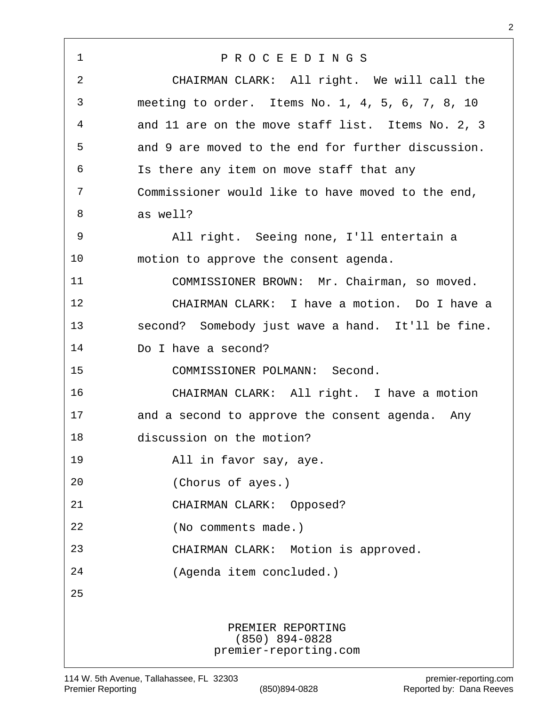| $\mathbf{1}$ | PROCEEDINGS                                                    |  |
|--------------|----------------------------------------------------------------|--|
| 2            | CHAIRMAN CLARK: All right. We will call the                    |  |
| 3            | meeting to order. Items No. 1, 4, 5, 6, 7, 8, 10               |  |
| 4            | and 11 are on the move staff list. Items No. 2, 3              |  |
| 5            | and 9 are moved to the end for further discussion.             |  |
| 6            | Is there any item on move staff that any                       |  |
| 7            | Commissioner would like to have moved to the end,              |  |
| 8            | as well?                                                       |  |
| 9            | All right. Seeing none, I'll entertain a                       |  |
| 10           | motion to approve the consent agenda.                          |  |
| 11           | COMMISSIONER BROWN: Mr. Chairman, so moved.                    |  |
| 12           | CHAIRMAN CLARK: I have a motion. Do I have a                   |  |
| 13           | second? Somebody just wave a hand. It'll be fine.              |  |
| 14           | Do I have a second?                                            |  |
| 15           | COMMISSIONER POLMANN: Second.                                  |  |
| 16           | CHAIRMAN CLARK: All right. I have a motion                     |  |
| 17           | and a second to approve the consent agenda. Any                |  |
| 18           | discussion on the motion?                                      |  |
| 19           | All in favor say, aye.                                         |  |
| 20           | (Chorus of ayes.)                                              |  |
| 21           | CHAIRMAN CLARK: Opposed?                                       |  |
| 22           | (No comments made.)                                            |  |
| 23           | CHAIRMAN CLARK: Motion is approved.                            |  |
| 24           | (Agenda item concluded.)                                       |  |
| 25           |                                                                |  |
|              | PREMIER REPORTING<br>$(850)$ 894-0828<br>premier-reporting.com |  |